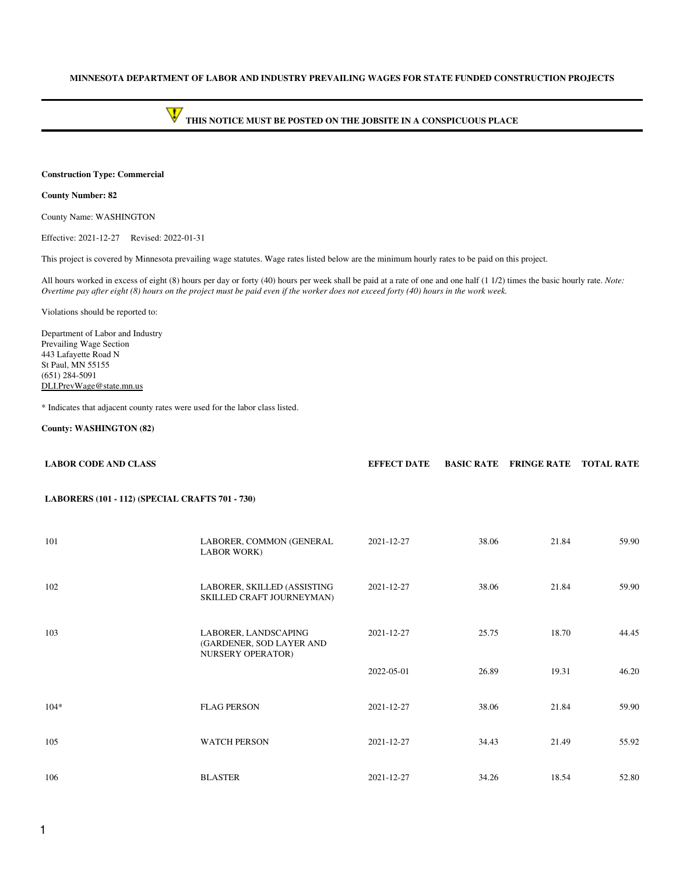### **MINNESOTA DEPARTMENT OF LABOR AND INDUSTRY PREVAILING WAGES FOR STATE FUNDED CONSTRUCTION PROJECTS**

# **THIS NOTICE MUST BE POSTED ON THE JOBSITE IN A CONSPICUOUS PLACE**

#### **Construction Type: Commercial**

### **County Number: 82**

County Name: WASHINGTON

Effective: 2021-12-27 Revised: 2022-01-31

This project is covered by Minnesota prevailing wage statutes. Wage rates listed below are the minimum hourly rates to be paid on this project.

All hours worked in excess of eight (8) hours per day or forty (40) hours per week shall be paid at a rate of one and one half (1 1/2) times the basic hourly rate. *Note: Overtime pay after eight (8) hours on the project must be paid even if the worker does not exceed forty (40) hours in the work week.*

Violations should be reported to:

Department of Labor and Industry Prevailing Wage Section 443 Lafayette Road N St Paul, MN 55155 (651) 284-5091 [DLI.PrevWage@state.mn.us](mailto:DLI.PrevWage@state.mn.us)

\* Indicates that adjacent county rates were used for the labor class listed.

#### **County: WASHINGTON (82)**

| <b>LABOR CODE AND CLASS</b>                     |                                                                       | <b>EFFECT DATE</b> |       | <b>BASIC RATE FRINGE RATE</b> | <b>TOTAL RATE</b> |
|-------------------------------------------------|-----------------------------------------------------------------------|--------------------|-------|-------------------------------|-------------------|
| LABORERS (101 - 112) (SPECIAL CRAFTS 701 - 730) |                                                                       |                    |       |                               |                   |
| 101                                             | LABORER, COMMON (GENERAL<br><b>LABOR WORK)</b>                        | 2021-12-27         | 38.06 | 21.84                         | 59.90             |
| 102                                             | LABORER, SKILLED (ASSISTING<br>SKILLED CRAFT JOURNEYMAN)              | 2021-12-27         | 38.06 | 21.84                         | 59.90             |
| 103                                             | LABORER, LANDSCAPING<br>(GARDENER, SOD LAYER AND<br>NURSERY OPERATOR) | 2021-12-27         | 25.75 | 18.70                         | 44.45             |
|                                                 |                                                                       | 2022-05-01         | 26.89 | 19.31                         | 46.20             |
| $104*$                                          | <b>FLAG PERSON</b>                                                    | 2021-12-27         | 38.06 | 21.84                         | 59.90             |
| 105                                             | <b>WATCH PERSON</b>                                                   | 2021-12-27         | 34.43 | 21.49                         | 55.92             |
| 106                                             | <b>BLASTER</b>                                                        | 2021-12-27         | 34.26 | 18.54                         | 52.80             |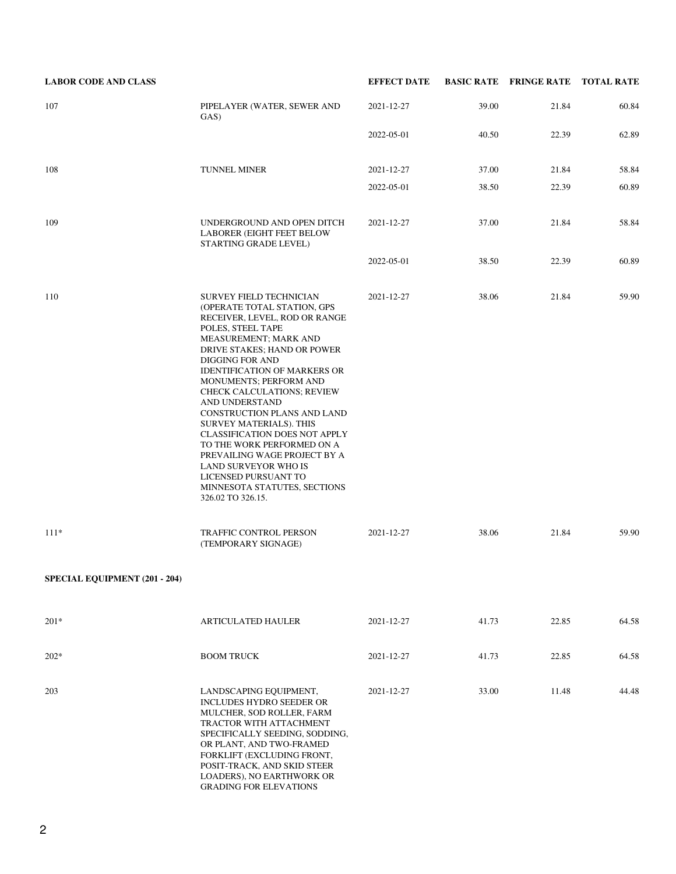| <b>LABOR CODE AND CLASS</b>   |                                                                                                                                                                                                                                                                                                                                                                                                                                                                                                                                                                                                    | <b>EFFECT DATE</b> |       | <b>BASIC RATE FRINGE RATE TOTAL RATE</b> |       |
|-------------------------------|----------------------------------------------------------------------------------------------------------------------------------------------------------------------------------------------------------------------------------------------------------------------------------------------------------------------------------------------------------------------------------------------------------------------------------------------------------------------------------------------------------------------------------------------------------------------------------------------------|--------------------|-------|------------------------------------------|-------|
| 107                           | PIPELAYER (WATER, SEWER AND<br>GAS)                                                                                                                                                                                                                                                                                                                                                                                                                                                                                                                                                                | 2021-12-27         | 39.00 | 21.84                                    | 60.84 |
|                               |                                                                                                                                                                                                                                                                                                                                                                                                                                                                                                                                                                                                    | 2022-05-01         | 40.50 | 22.39                                    | 62.89 |
| 108                           | <b>TUNNEL MINER</b>                                                                                                                                                                                                                                                                                                                                                                                                                                                                                                                                                                                | 2021-12-27         | 37.00 | 21.84                                    | 58.84 |
|                               |                                                                                                                                                                                                                                                                                                                                                                                                                                                                                                                                                                                                    | 2022-05-01         | 38.50 | 22.39                                    | 60.89 |
| 109                           | UNDERGROUND AND OPEN DITCH<br><b>LABORER (EIGHT FEET BELOW</b><br>STARTING GRADE LEVEL)                                                                                                                                                                                                                                                                                                                                                                                                                                                                                                            | 2021-12-27         | 37.00 | 21.84                                    | 58.84 |
|                               |                                                                                                                                                                                                                                                                                                                                                                                                                                                                                                                                                                                                    | 2022-05-01         | 38.50 | 22.39                                    | 60.89 |
| 110                           | <b>SURVEY FIELD TECHNICIAN</b><br>(OPERATE TOTAL STATION, GPS<br>RECEIVER, LEVEL, ROD OR RANGE<br>POLES, STEEL TAPE<br>MEASUREMENT; MARK AND<br>DRIVE STAKES; HAND OR POWER<br><b>DIGGING FOR AND</b><br><b>IDENTIFICATION OF MARKERS OR</b><br>MONUMENTS; PERFORM AND<br>CHECK CALCULATIONS; REVIEW<br>AND UNDERSTAND<br>CONSTRUCTION PLANS AND LAND<br>SURVEY MATERIALS). THIS<br><b>CLASSIFICATION DOES NOT APPLY</b><br>TO THE WORK PERFORMED ON A<br>PREVAILING WAGE PROJECT BY A<br><b>LAND SURVEYOR WHO IS</b><br>LICENSED PURSUANT TO<br>MINNESOTA STATUTES, SECTIONS<br>326.02 TO 326.15. | 2021-12-27         | 38.06 | 21.84                                    | 59.90 |
| $111*$                        | TRAFFIC CONTROL PERSON<br>(TEMPORARY SIGNAGE)                                                                                                                                                                                                                                                                                                                                                                                                                                                                                                                                                      | 2021-12-27         | 38.06 | 21.84                                    | 59.90 |
| SPECIAL EQUIPMENT (201 - 204) |                                                                                                                                                                                                                                                                                                                                                                                                                                                                                                                                                                                                    |                    |       |                                          |       |
| $201*$                        | <b>ARTICULATED HAULER</b>                                                                                                                                                                                                                                                                                                                                                                                                                                                                                                                                                                          | 2021-12-27         | 41.73 | 22.85                                    | 64.58 |
| $202*$                        | <b>BOOM TRUCK</b>                                                                                                                                                                                                                                                                                                                                                                                                                                                                                                                                                                                  | 2021-12-27         | 41.73 | 22.85                                    | 64.58 |
| 203                           | LANDSCAPING EQUIPMENT,<br><b>INCLUDES HYDRO SEEDER OR</b><br>MULCHER, SOD ROLLER, FARM<br>TRACTOR WITH ATTACHMENT<br>SPECIFICALLY SEEDING, SODDING,<br>OR PLANT, AND TWO-FRAMED<br>FORKLIFT (EXCLUDING FRONT,<br>POSIT-TRACK, AND SKID STEER<br>LOADERS), NO EARTHWORK OR<br><b>GRADING FOR ELEVATIONS</b>                                                                                                                                                                                                                                                                                         | 2021-12-27         | 33.00 | 11.48                                    | 44.48 |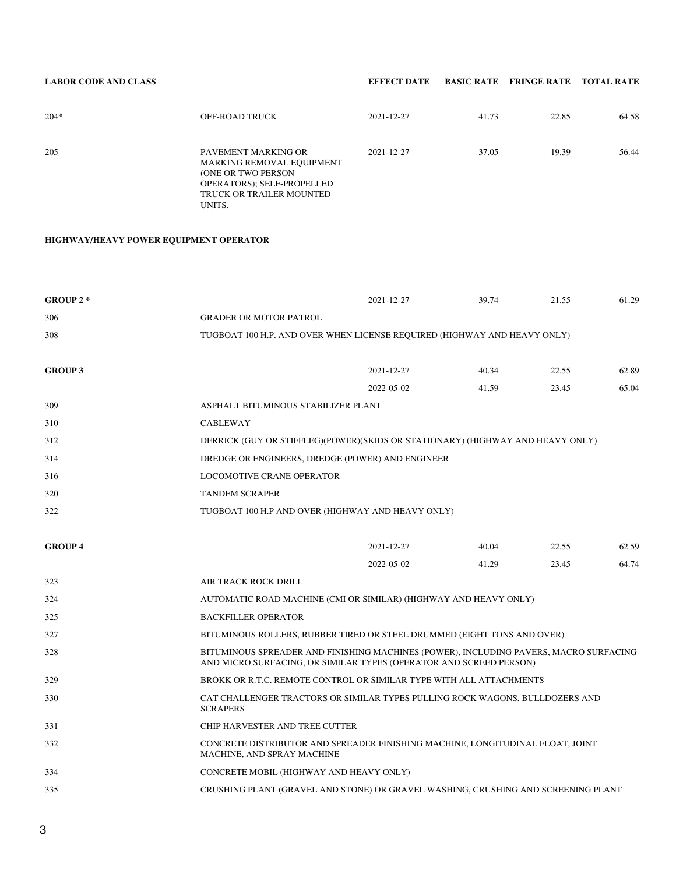# **LABOR CODE AND CLASS EFFECT DATE BASIC RATE FRINGE RATE TOTAL RATE**

| $204*$ | OFF-ROAD TRUCK                                                                                                                                           | 2021-12-27 | 41.73 | 22.85 | 64.58 |
|--------|----------------------------------------------------------------------------------------------------------------------------------------------------------|------------|-------|-------|-------|
| 205    | PAVEMENT MARKING OR<br>MARKING REMOVAL EQUIPMENT<br><b>(ONE OR TWO PERSON)</b><br><b>OPERATORS: SELF-PROPELLED</b><br>TRUCK OR TRAILER MOUNTED<br>UNITS. | 2021-12-27 | 37.05 | 19.39 | 56.44 |

# **HIGHWAY/HEAVY POWER EQUIPMENT OPERATOR**

| GROUP $2 *$    |                                         | 2021-12-27                                                                                                                                                  | 39.74 | 21.55 | 61.29 |
|----------------|-----------------------------------------|-------------------------------------------------------------------------------------------------------------------------------------------------------------|-------|-------|-------|
| 306            | <b>GRADER OR MOTOR PATROL</b>           |                                                                                                                                                             |       |       |       |
| 308            |                                         | TUGBOAT 100 H.P. AND OVER WHEN LICENSE REQUIRED (HIGHWAY AND HEAVY ONLY)                                                                                    |       |       |       |
| <b>GROUP 3</b> |                                         | 2021-12-27                                                                                                                                                  | 40.34 | 22.55 | 62.89 |
|                |                                         | 2022-05-02                                                                                                                                                  | 41.59 | 23.45 | 65.04 |
| 309            | ASPHALT BITUMINOUS STABILIZER PLANT     |                                                                                                                                                             |       |       |       |
| 310            | <b>CABLEWAY</b>                         |                                                                                                                                                             |       |       |       |
| 312            |                                         | DERRICK (GUY OR STIFFLEG)(POWER)(SKIDS OR STATIONARY) (HIGHWAY AND HEAVY ONLY)                                                                              |       |       |       |
| 314            |                                         | DREDGE OR ENGINEERS, DREDGE (POWER) AND ENGINEER                                                                                                            |       |       |       |
| 316            | <b>LOCOMOTIVE CRANE OPERATOR</b>        |                                                                                                                                                             |       |       |       |
| 320            | <b>TANDEM SCRAPER</b>                   |                                                                                                                                                             |       |       |       |
| 322            |                                         | TUGBOAT 100 H.P AND OVER (HIGHWAY AND HEAVY ONLY)                                                                                                           |       |       |       |
| <b>GROUP4</b>  |                                         | 2021-12-27                                                                                                                                                  | 40.04 | 22.55 | 62.59 |
|                |                                         | 2022-05-02                                                                                                                                                  | 41.29 | 23.45 | 64.74 |
| 323            | AIR TRACK ROCK DRILL                    |                                                                                                                                                             |       |       |       |
| 324            |                                         | AUTOMATIC ROAD MACHINE (CMI OR SIMILAR) (HIGHWAY AND HEAVY ONLY)                                                                                            |       |       |       |
| 325            | <b>BACKFILLER OPERATOR</b>              |                                                                                                                                                             |       |       |       |
| 327            |                                         | BITUMINOUS ROLLERS, RUBBER TIRED OR STEEL DRUMMED (EIGHT TONS AND OVER)                                                                                     |       |       |       |
| 328            |                                         | BITUMINOUS SPREADER AND FINISHING MACHINES (POWER), INCLUDING PAVERS, MACRO SURFACING<br>AND MICRO SURFACING, OR SIMILAR TYPES (OPERATOR AND SCREED PERSON) |       |       |       |
| 329            |                                         | BROKK OR R.T.C. REMOTE CONTROL OR SIMILAR TYPE WITH ALL ATTACHMENTS                                                                                         |       |       |       |
| 330            | <b>SCRAPERS</b>                         | CAT CHALLENGER TRACTORS OR SIMILAR TYPES PULLING ROCK WAGONS, BULLDOZERS AND                                                                                |       |       |       |
| 331            | CHIP HARVESTER AND TREE CUTTER          |                                                                                                                                                             |       |       |       |
| 332            | MACHINE, AND SPRAY MACHINE              | CONCRETE DISTRIBUTOR AND SPREADER FINISHING MACHINE, LONGITUDINAL FLOAT, JOINT                                                                              |       |       |       |
| 334            | CONCRETE MOBIL (HIGHWAY AND HEAVY ONLY) |                                                                                                                                                             |       |       |       |
| 335            |                                         | CRUSHING PLANT (GRAVEL AND STONE) OR GRAVEL WASHING, CRUSHING AND SCREENING PLANT                                                                           |       |       |       |
|                |                                         |                                                                                                                                                             |       |       |       |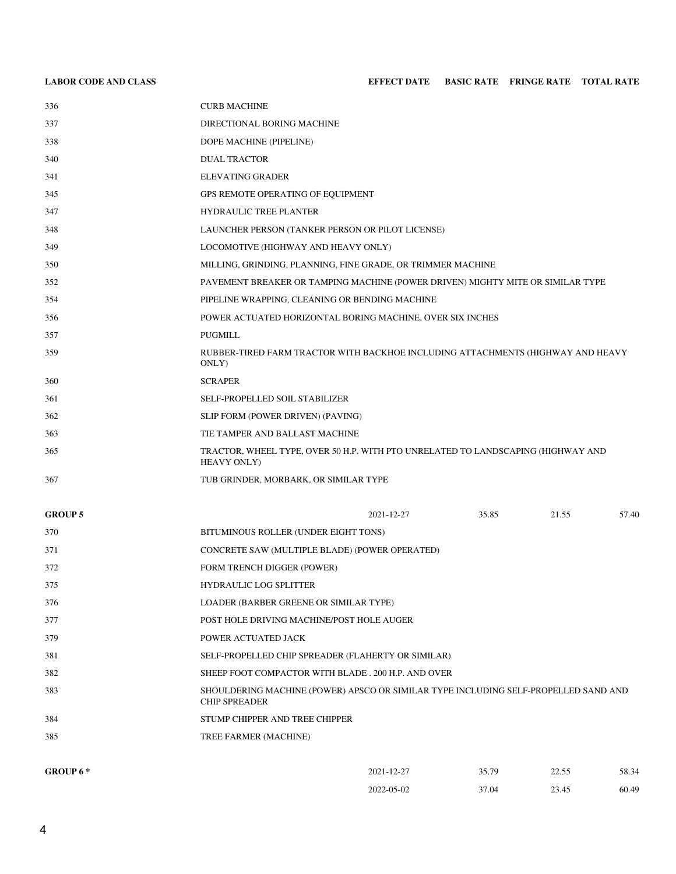| 336            | <b>CURB MACHINE</b>                                                                             |
|----------------|-------------------------------------------------------------------------------------------------|
| 337            | DIRECTIONAL BORING MACHINE                                                                      |
| 338            | DOPE MACHINE (PIPELINE)                                                                         |
| 340            | <b>DUAL TRACTOR</b>                                                                             |
| 341            | <b>ELEVATING GRADER</b>                                                                         |
| 345            | GPS REMOTE OPERATING OF EQUIPMENT                                                               |
| 347            | HYDRAULIC TREE PLANTER                                                                          |
| 348            | LAUNCHER PERSON (TANKER PERSON OR PILOT LICENSE)                                                |
| 349            | LOCOMOTIVE (HIGHWAY AND HEAVY ONLY)                                                             |
| 350            | MILLING, GRINDING, PLANNING, FINE GRADE, OR TRIMMER MACHINE                                     |
| 352            | PAVEMENT BREAKER OR TAMPING MACHINE (POWER DRIVEN) MIGHTY MITE OR SIMILAR TYPE                  |
| 354            | PIPELINE WRAPPING, CLEANING OR BENDING MACHINE                                                  |
| 356            | POWER ACTUATED HORIZONTAL BORING MACHINE, OVER SIX INCHES                                       |
| 357            | <b>PUGMILL</b>                                                                                  |
| 359            | RUBBER-TIRED FARM TRACTOR WITH BACKHOE INCLUDING ATTACHMENTS (HIGHWAY AND HEAVY<br>ONLY)        |
| 360            | <b>SCRAPER</b>                                                                                  |
| 361            | SELF-PROPELLED SOIL STABILIZER                                                                  |
| 362            | SLIP FORM (POWER DRIVEN) (PAVING)                                                               |
| 363            | TIE TAMPER AND BALLAST MACHINE                                                                  |
| 365            | TRACTOR, WHEEL TYPE, OVER 50 H.P. WITH PTO UNRELATED TO LANDSCAPING (HIGHWAY AND<br>HEAVY ONLY) |
| 367            | TUB GRINDER, MORBARK, OR SIMILAR TYPE                                                           |
| <b>GROUP 5</b> | 35.85<br>21.55<br>57.40<br>2021-12-27                                                           |
| 370            | BITUMINOUS ROLLER (UNDER EIGHT TONS)                                                            |
| 371            | CONCRETE SAW (MULTIPLE BLADE) (POWER OPERATED)                                                  |

- FORM TRENCH DIGGER (POWER)
- HYDRAULIC LOG SPLITTER
- LOADER (BARBER GREENE OR SIMILAR TYPE)
- POST HOLE DRIVING MACHINE/POST HOLE AUGER
- POWER ACTUATED JACK
- SELF-PROPELLED CHIP SPREADER (FLAHERTY OR SIMILAR)
- SHEEP FOOT COMPACTOR WITH BLADE . 200 H.P. AND OVER
- SHOULDERING MACHINE (POWER) APSCO OR SIMILAR TYPE INCLUDING SELF-PROPELLED SAND AND CHIP SPREADER
- STUMP CHIPPER AND TREE CHIPPER
- TREE FARMER (MACHINE)

| GROUP 6 * | 2021-12-27 | 35.79 | 225<br>ر.ر. ے ک<br>$\sim$ $\sim$ $\sim$ | 58.34 |
|-----------|------------|-------|-----------------------------------------|-------|
|           | 2022-05-02 | 37.04 | 23.45<br>ر ہے۔                          | 60.49 |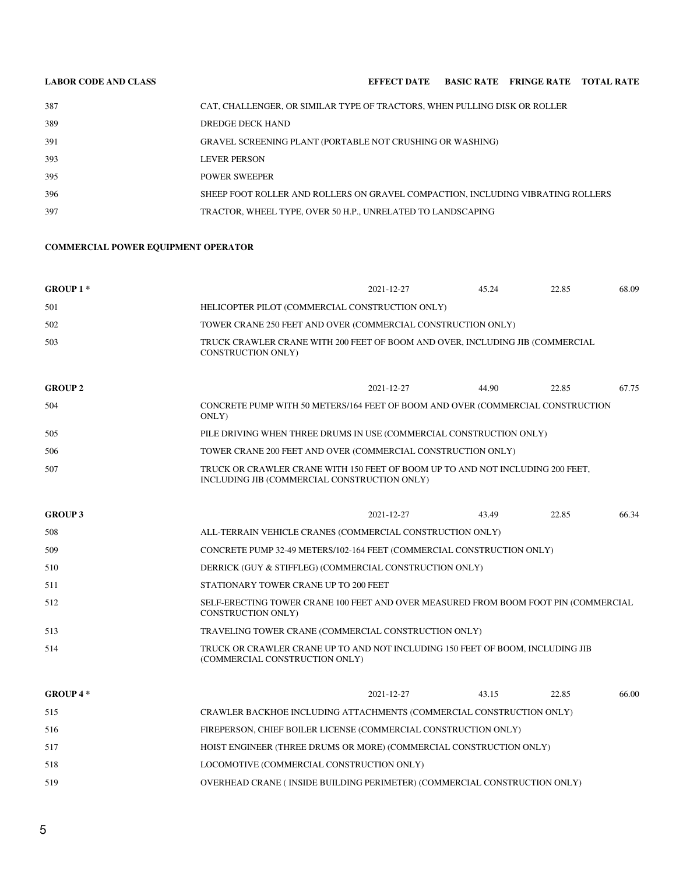| <b>LABOR CODE AND CLASS</b> |                                                                                 |  | <b>EFFECT DATE BASIC RATE FRINGE RATE TOTAL RATE</b> |  |
|-----------------------------|---------------------------------------------------------------------------------|--|------------------------------------------------------|--|
| 387                         | CAT, CHALLENGER, OR SIMILAR TYPE OF TRACTORS, WHEN PULLING DISK OR ROLLER       |  |                                                      |  |
| 389                         | DREDGE DECK HAND                                                                |  |                                                      |  |
| 391                         | GRAVEL SCREENING PLANT (PORTABLE NOT CRUSHING OR WASHING)                       |  |                                                      |  |
| 393                         | <b>LEVER PERSON</b>                                                             |  |                                                      |  |
| 395                         | <b>POWER SWEEPER</b>                                                            |  |                                                      |  |
| 396                         | SHEEP FOOT ROLLER AND ROLLERS ON GRAVEL COMPACTION. INCLUDING VIBRATING ROLLERS |  |                                                      |  |
| 397                         | TRACTOR, WHEEL TYPE, OVER 50 H.P., UNRELATED TO LANDSCAPING                     |  |                                                      |  |

# **COMMERCIAL POWER EQUIPMENT OPERATOR**

| $GROUP1*$      |                                                                                                            | 2021-12-27 | 45.24 | 22.85 | 68.09 |  |
|----------------|------------------------------------------------------------------------------------------------------------|------------|-------|-------|-------|--|
| 501            | HELICOPTER PILOT (COMMERCIAL CONSTRUCTION ONLY)                                                            |            |       |       |       |  |
| 502            | TOWER CRANE 250 FEET AND OVER (COMMERCIAL CONSTRUCTION ONLY)                                               |            |       |       |       |  |
| 503            | TRUCK CRAWLER CRANE WITH 200 FEET OF BOOM AND OVER, INCLUDING JIB (COMMERCIAL<br><b>CONSTRUCTION ONLY)</b> |            |       |       |       |  |
| <b>GROUP 2</b> |                                                                                                            | 2021-12-27 | 44.90 | 22.85 | 67.75 |  |

| 504 | CONCRETE PUMP WITH 50 METERS/164 FEET OF BOOM AND OVER (COMMERCIAL CONSTRUCTION<br>ONLY)                                       |
|-----|--------------------------------------------------------------------------------------------------------------------------------|
| 505 | PILE DRIVING WHEN THREE DRUMS IN USE (COMMERCIAL CONSTRUCTION ONLY)                                                            |
| 506 | TOWER CRANE 200 FEET AND OVER (COMMERCIAL CONSTRUCTION ONLY)                                                                   |
| 507 | TRUCK OR CRAWLER CRANE WITH 150 FEET OF BOOM UP TO AND NOT INCLUDING 200 FEET,<br>INCLUDING JIB (COMMERCIAL CONSTRUCTION ONLY) |

| <b>GROUP 3</b> |                                                                                                                  | 2021-12-27 | 43.49 | 22.85 | 66.34 |
|----------------|------------------------------------------------------------------------------------------------------------------|------------|-------|-------|-------|
| 508            | ALL-TERRAIN VEHICLE CRANES (COMMERCIAL CONSTRUCTION ONLY)                                                        |            |       |       |       |
| 509            | CONCRETE PUMP 32-49 METERS/102-164 FEET (COMMERCIAL CONSTRUCTION ONLY)                                           |            |       |       |       |
| 510            | DERRICK (GUY & STIFFLEG) (COMMERCIAL CONSTRUCTION ONLY)                                                          |            |       |       |       |
| 511            | STATIONARY TOWER CRANE UP TO 200 FEET                                                                            |            |       |       |       |
| 512            | SELF-ERECTING TOWER CRANE 100 FEET AND OVER MEASURED FROM BOOM FOOT PIN (COMMERCIAL<br><b>CONSTRUCTION ONLY)</b> |            |       |       |       |
| 513            | TRAVELING TOWER CRANE (COMMERCIAL CONSTRUCTION ONLY)                                                             |            |       |       |       |
| 514            | TRUCK OR CRAWLER CRANE UP TO AND NOT INCLUDING 150 FEET OF BOOM, INCLUDING JIB<br>(COMMERCIAL CONSTRUCTION ONLY) |            |       |       |       |

| GROUP $4*$ |  |
|------------|--|
|            |  |

| <b>GROUP 4 *</b> |                                                                           | 2021-12-27 | 43.15 | 22.85 | 66.00 |
|------------------|---------------------------------------------------------------------------|------------|-------|-------|-------|
| 515              | CRAWLER BACKHOE INCLUDING ATTACHMENTS (COMMERCIAL CONSTRUCTION ONLY)      |            |       |       |       |
| 516              | FIREPERSON, CHIEF BOILER LICENSE (COMMERCIAL CONSTRUCTION ONLY)           |            |       |       |       |
| 517              | HOIST ENGINEER (THREE DRUMS OR MORE) (COMMERCIAL CONSTRUCTION ONLY)       |            |       |       |       |
| 518              | LOCOMOTIVE (COMMERCIAL CONSTRUCTION ONLY)                                 |            |       |       |       |
| 519              | OVERHEAD CRANE (INSIDE BUILDING PERIMETER) (COMMERCIAL CONSTRUCTION ONLY) |            |       |       |       |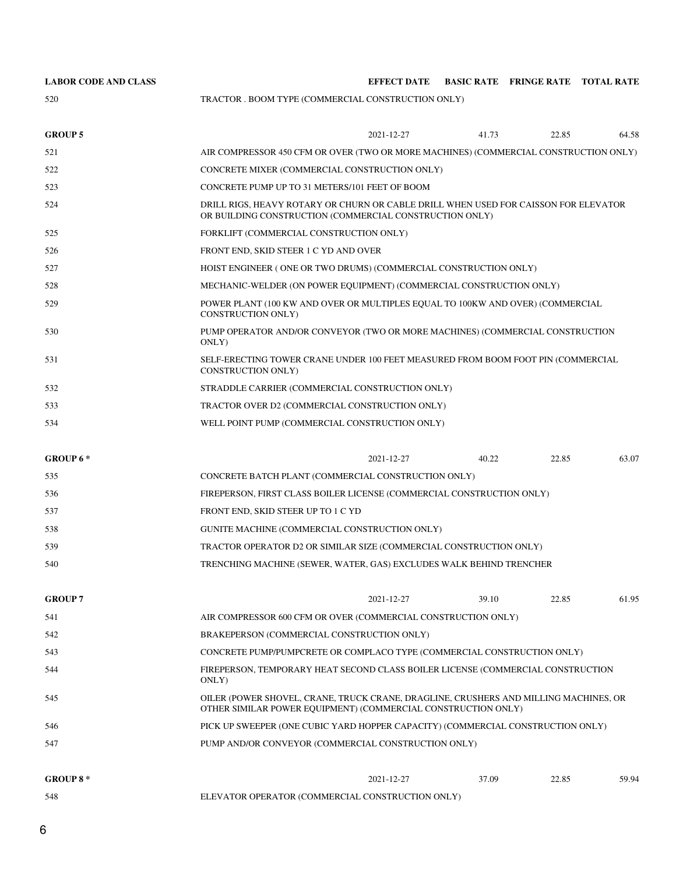| <b>LABOR CODE AND CLASS</b> |                                                                                                                                                       | <b>EFFECT DATE</b>                                                                                                                             |       | BASIC RATE FRINGE RATE TOTAL RATE |       |  |  |
|-----------------------------|-------------------------------------------------------------------------------------------------------------------------------------------------------|------------------------------------------------------------------------------------------------------------------------------------------------|-------|-----------------------------------|-------|--|--|
| 520                         | TRACTOR . BOOM TYPE (COMMERCIAL CONSTRUCTION ONLY)                                                                                                    |                                                                                                                                                |       |                                   |       |  |  |
| <b>GROUP 5</b>              |                                                                                                                                                       | 2021-12-27                                                                                                                                     | 41.73 | 22.85                             | 64.58 |  |  |
| 521                         | AIR COMPRESSOR 450 CFM OR OVER (TWO OR MORE MACHINES) (COMMERCIAL CONSTRUCTION ONLY)                                                                  |                                                                                                                                                |       |                                   |       |  |  |
| 522                         | CONCRETE MIXER (COMMERCIAL CONSTRUCTION ONLY)                                                                                                         |                                                                                                                                                |       |                                   |       |  |  |
| 523                         | CONCRETE PUMP UP TO 31 METERS/101 FEET OF BOOM                                                                                                        |                                                                                                                                                |       |                                   |       |  |  |
| 524                         |                                                                                                                                                       | DRILL RIGS, HEAVY ROTARY OR CHURN OR CABLE DRILL WHEN USED FOR CAISSON FOR ELEVATOR<br>OR BUILDING CONSTRUCTION (COMMERCIAL CONSTRUCTION ONLY) |       |                                   |       |  |  |
| 525                         | FORKLIFT (COMMERCIAL CONSTRUCTION ONLY)                                                                                                               |                                                                                                                                                |       |                                   |       |  |  |
| 526                         | FRONT END, SKID STEER 1 C YD AND OVER                                                                                                                 |                                                                                                                                                |       |                                   |       |  |  |
| 527                         | HOIST ENGINEER (ONE OR TWO DRUMS) (COMMERCIAL CONSTRUCTION ONLY)                                                                                      |                                                                                                                                                |       |                                   |       |  |  |
| 528                         | MECHANIC-WELDER (ON POWER EQUIPMENT) (COMMERCIAL CONSTRUCTION ONLY)                                                                                   |                                                                                                                                                |       |                                   |       |  |  |
| 529                         | <b>CONSTRUCTION ONLY)</b>                                                                                                                             | POWER PLANT (100 KW AND OVER OR MULTIPLES EQUAL TO 100KW AND OVER) (COMMERCIAL                                                                 |       |                                   |       |  |  |
| 530                         | ONLY)                                                                                                                                                 | PUMP OPERATOR AND/OR CONVEYOR (TWO OR MORE MACHINES) (COMMERCIAL CONSTRUCTION                                                                  |       |                                   |       |  |  |
| 531                         | CONSTRUCTION ONLY)                                                                                                                                    | SELF-ERECTING TOWER CRANE UNDER 100 FEET MEASURED FROM BOOM FOOT PIN (COMMERCIAL                                                               |       |                                   |       |  |  |
| 532                         | STRADDLE CARRIER (COMMERCIAL CONSTRUCTION ONLY)                                                                                                       |                                                                                                                                                |       |                                   |       |  |  |
| 533                         | TRACTOR OVER D2 (COMMERCIAL CONSTRUCTION ONLY)                                                                                                        |                                                                                                                                                |       |                                   |       |  |  |
| 534                         |                                                                                                                                                       | WELL POINT PUMP (COMMERCIAL CONSTRUCTION ONLY)                                                                                                 |       |                                   |       |  |  |
| GROUP 6*                    |                                                                                                                                                       | 2021-12-27                                                                                                                                     | 40.22 | 22.85                             | 63.07 |  |  |
| 535                         |                                                                                                                                                       | CONCRETE BATCH PLANT (COMMERCIAL CONSTRUCTION ONLY)                                                                                            |       |                                   |       |  |  |
| 536                         | FIREPERSON, FIRST CLASS BOILER LICENSE (COMMERCIAL CONSTRUCTION ONLY)                                                                                 |                                                                                                                                                |       |                                   |       |  |  |
| 537                         | FRONT END, SKID STEER UP TO 1 C YD                                                                                                                    |                                                                                                                                                |       |                                   |       |  |  |
| 538                         | GUNITE MACHINE (COMMERCIAL CONSTRUCTION ONLY)                                                                                                         |                                                                                                                                                |       |                                   |       |  |  |
| 539                         | TRACTOR OPERATOR D2 OR SIMILAR SIZE (COMMERCIAL CONSTRUCTION ONLY)                                                                                    |                                                                                                                                                |       |                                   |       |  |  |
| 540                         | TRENCHING MACHINE (SEWER, WATER, GAS) EXCLUDES WALK BEHIND TRENCHER                                                                                   |                                                                                                                                                |       |                                   |       |  |  |
| <b>GROUP 7</b>              |                                                                                                                                                       | 2021-12-27                                                                                                                                     | 39.10 | 22.85                             | 61.95 |  |  |
| 541                         | AIR COMPRESSOR 600 CFM OR OVER (COMMERCIAL CONSTRUCTION ONLY)                                                                                         |                                                                                                                                                |       |                                   |       |  |  |
| 542                         |                                                                                                                                                       | BRAKEPERSON (COMMERCIAL CONSTRUCTION ONLY)                                                                                                     |       |                                   |       |  |  |
| 543                         | CONCRETE PUMP/PUMPCRETE OR COMPLACO TYPE (COMMERCIAL CONSTRUCTION ONLY)                                                                               |                                                                                                                                                |       |                                   |       |  |  |
| 544                         | FIREPERSON, TEMPORARY HEAT SECOND CLASS BOILER LICENSE (COMMERCIAL CONSTRUCTION<br>ONLY)                                                              |                                                                                                                                                |       |                                   |       |  |  |
| 545                         | OILER (POWER SHOVEL, CRANE, TRUCK CRANE, DRAGLINE, CRUSHERS AND MILLING MACHINES, OR<br>OTHER SIMILAR POWER EQUIPMENT) (COMMERCIAL CONSTRUCTION ONLY) |                                                                                                                                                |       |                                   |       |  |  |
| 546                         | PICK UP SWEEPER (ONE CUBIC YARD HOPPER CAPACITY) (COMMERCIAL CONSTRUCTION ONLY)                                                                       |                                                                                                                                                |       |                                   |       |  |  |
| 547                         | PUMP AND/OR CONVEYOR (COMMERCIAL CONSTRUCTION ONLY)                                                                                                   |                                                                                                                                                |       |                                   |       |  |  |
| <b>GROUP 8*</b>             |                                                                                                                                                       | 2021-12-27                                                                                                                                     | 37.09 | 22.85                             | 59.94 |  |  |
| 548                         | ELEVATOR OPERATOR (COMMERCIAL CONSTRUCTION ONLY)                                                                                                      |                                                                                                                                                |       |                                   |       |  |  |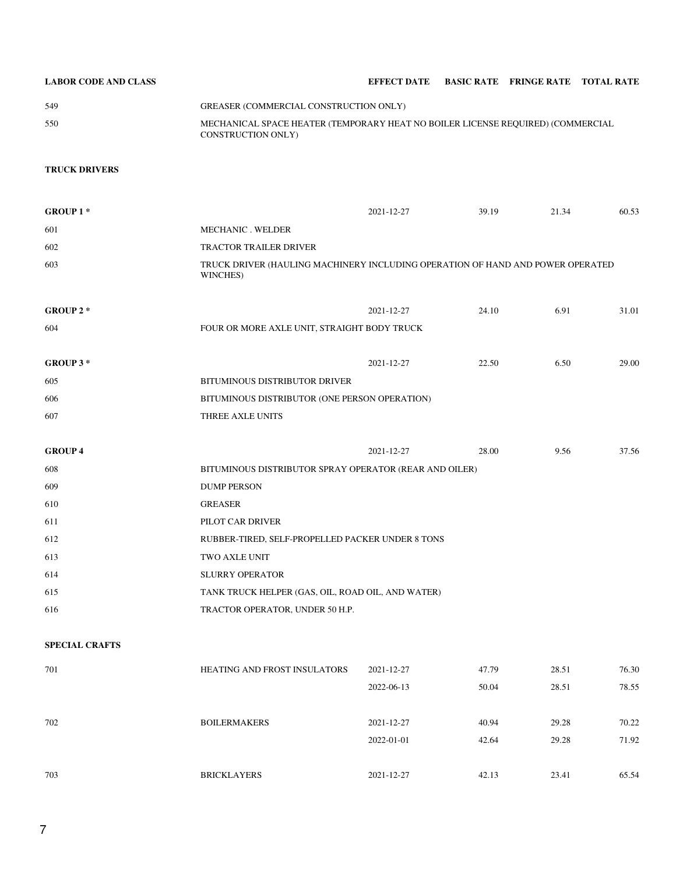| <b>LABOR CODE AND CLASS</b> |                                                                                                              | EFFECT DATE BASIC RATE FRINGE RATE TOTAL RATE |  |  |
|-----------------------------|--------------------------------------------------------------------------------------------------------------|-----------------------------------------------|--|--|
| 549                         | GREASER (COMMERCIAL CONSTRUCTION ONLY)                                                                       |                                               |  |  |
| 550                         | MECHANICAL SPACE HEATER (TEMPORARY HEAT NO BOILER LICENSE REQUIRED) (COMMERCIAL<br><b>CONSTRUCTION ONLY)</b> |                                               |  |  |

## **TRUCK DRIVERS**

| <b>GROUP 1*</b>       |                                                                                            | 2021-12-27       | 39.19 | 21.34 | 60.53 |  |
|-----------------------|--------------------------------------------------------------------------------------------|------------------|-------|-------|-------|--|
| 601                   | MECHANIC . WELDER                                                                          |                  |       |       |       |  |
| 602                   | <b>TRACTOR TRAILER DRIVER</b>                                                              |                  |       |       |       |  |
| 603                   | TRUCK DRIVER (HAULING MACHINERY INCLUDING OPERATION OF HAND AND POWER OPERATED<br>WINCHES) |                  |       |       |       |  |
| GROUP $2*$            |                                                                                            | 2021-12-27       | 24.10 | 6.91  | 31.01 |  |
| 604                   | FOUR OR MORE AXLE UNIT, STRAIGHT BODY TRUCK                                                |                  |       |       |       |  |
|                       |                                                                                            |                  |       |       |       |  |
| GROUP 3*              |                                                                                            | 2021-12-27       | 22.50 | 6.50  | 29.00 |  |
| 605                   | BITUMINOUS DISTRIBUTOR DRIVER                                                              |                  |       |       |       |  |
| 606                   | BITUMINOUS DISTRIBUTOR (ONE PERSON OPERATION)                                              |                  |       |       |       |  |
| 607                   | THREE AXLE UNITS                                                                           |                  |       |       |       |  |
|                       |                                                                                            |                  |       |       |       |  |
| <b>GROUP 4</b>        |                                                                                            | 2021-12-27       | 28.00 | 9.56  | 37.56 |  |
| 608                   | BITUMINOUS DISTRIBUTOR SPRAY OPERATOR (REAR AND OILER)                                     |                  |       |       |       |  |
| 609                   | <b>DUMP PERSON</b>                                                                         |                  |       |       |       |  |
| 610                   | <b>GREASER</b>                                                                             |                  |       |       |       |  |
| 611                   | PILOT CAR DRIVER                                                                           |                  |       |       |       |  |
| 612                   | RUBBER-TIRED, SELF-PROPELLED PACKER UNDER 8 TONS                                           |                  |       |       |       |  |
| 613                   | TWO AXLE UNIT                                                                              |                  |       |       |       |  |
| 614                   | <b>SLURRY OPERATOR</b>                                                                     |                  |       |       |       |  |
| 615                   | TANK TRUCK HELPER (GAS, OIL, ROAD OIL, AND WATER)                                          |                  |       |       |       |  |
| 616                   | TRACTOR OPERATOR, UNDER 50 H.P.                                                            |                  |       |       |       |  |
| <b>SPECIAL CRAFTS</b> |                                                                                            |                  |       |       |       |  |
|                       |                                                                                            |                  |       |       |       |  |
| 701                   | <b>HEATING AND FROST INSULATORS</b>                                                        | 2021-12-27       | 47.79 | 28.51 | 76.30 |  |
|                       |                                                                                            | 2022-06-13       | 50.04 | 28.51 | 78.55 |  |
| 702                   | <b>BOILERMAKERS</b>                                                                        | $2021 - 12 - 27$ | 40.94 | 29.28 | 70.22 |  |
|                       |                                                                                            | 2022-01-01       | 42.64 | 29.28 | 71.92 |  |
| 703                   | <b>BRICKLAYERS</b>                                                                         | 2021-12-27       | 42.13 | 23.41 | 65.54 |  |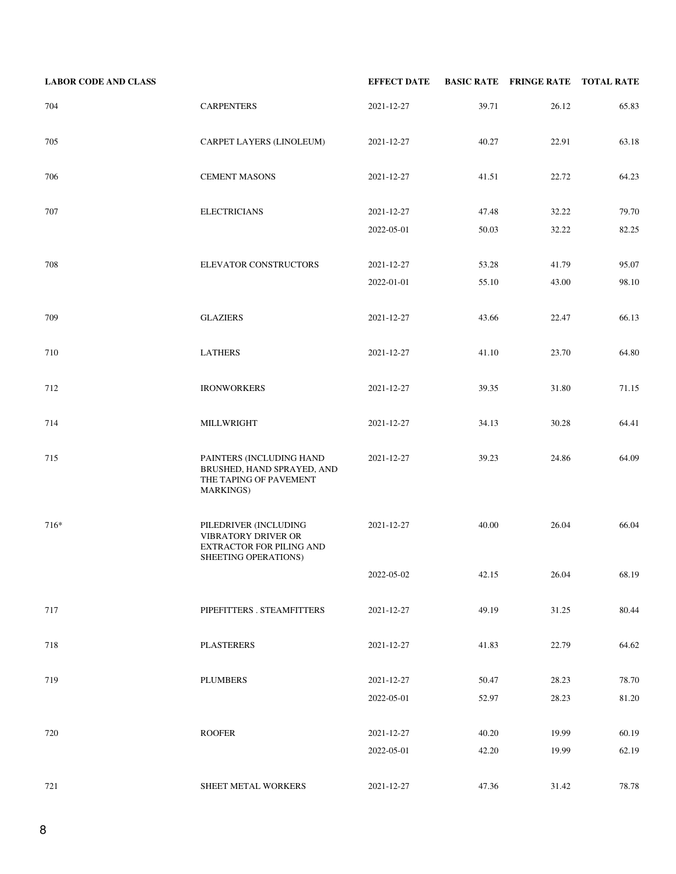| <b>LABOR CODE AND CLASS</b> |                                                                                                       | <b>EFFECT DATE</b> |       | <b>BASIC RATE FRINGE RATE TOTAL RATE</b> |       |
|-----------------------------|-------------------------------------------------------------------------------------------------------|--------------------|-------|------------------------------------------|-------|
| 704                         | <b>CARPENTERS</b>                                                                                     | 2021-12-27         | 39.71 | 26.12                                    | 65.83 |
| 705                         | CARPET LAYERS (LINOLEUM)                                                                              | 2021-12-27         | 40.27 | 22.91                                    | 63.18 |
| 706                         | <b>CEMENT MASONS</b>                                                                                  | 2021-12-27         | 41.51 | 22.72                                    | 64.23 |
| 707                         | <b>ELECTRICIANS</b>                                                                                   | 2021-12-27         | 47.48 | 32.22                                    | 79.70 |
|                             |                                                                                                       | 2022-05-01         | 50.03 | 32.22                                    | 82.25 |
| 708                         | ELEVATOR CONSTRUCTORS                                                                                 | 2021-12-27         | 53.28 | 41.79                                    | 95.07 |
|                             |                                                                                                       | 2022-01-01         | 55.10 | 43.00                                    | 98.10 |
| 709                         | <b>GLAZIERS</b>                                                                                       | 2021-12-27         | 43.66 | 22.47                                    | 66.13 |
| 710                         | <b>LATHERS</b>                                                                                        | 2021-12-27         | 41.10 | 23.70                                    | 64.80 |
| 712                         | <b>IRONWORKERS</b>                                                                                    | 2021-12-27         | 39.35 | 31.80                                    | 71.15 |
| 714                         | MILLWRIGHT                                                                                            | 2021-12-27         | 34.13 | 30.28                                    | 64.41 |
| 715                         | PAINTERS (INCLUDING HAND<br>BRUSHED, HAND SPRAYED, AND<br>THE TAPING OF PAVEMENT<br><b>MARKINGS</b> ) | 2021-12-27         | 39.23 | 24.86                                    | 64.09 |
| 716*                        | PILEDRIVER (INCLUDING<br>VIBRATORY DRIVER OR<br>EXTRACTOR FOR PILING AND<br>SHEETING OPERATIONS)      | 2021-12-27         | 40.00 | 26.04                                    | 66.04 |
|                             |                                                                                                       | 2022-05-02         | 42.15 | 26.04                                    | 68.19 |
| 717                         | PIPEFITTERS . STEAMFITTERS                                                                            | 2021-12-27         | 49.19 | 31.25                                    | 80.44 |
| 718                         | <b>PLASTERERS</b>                                                                                     | 2021-12-27         | 41.83 | 22.79                                    | 64.62 |
| 719                         | <b>PLUMBERS</b>                                                                                       | 2021-12-27         | 50.47 | 28.23                                    | 78.70 |
|                             |                                                                                                       | 2022-05-01         | 52.97 | 28.23                                    | 81.20 |
| 720                         | <b>ROOFER</b>                                                                                         | 2021-12-27         | 40.20 | 19.99                                    | 60.19 |
|                             |                                                                                                       | 2022-05-01         | 42.20 | 19.99                                    | 62.19 |
| 721                         | SHEET METAL WORKERS                                                                                   | 2021-12-27         | 47.36 | 31.42                                    | 78.78 |